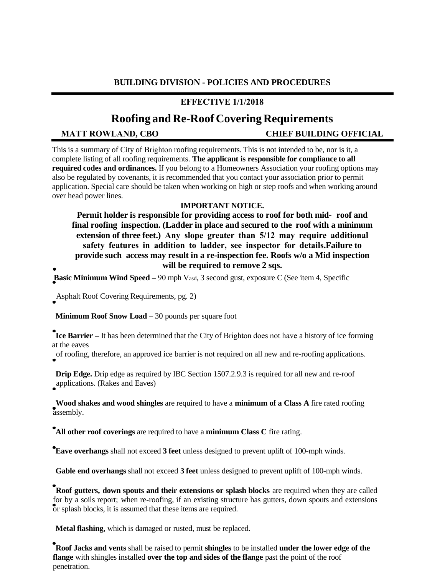## **BUILDING DIVISION - POLICIES AND PROCEDURES**

## **EFFECTIVE 1/1/2018**

# **Roofing and Re-RoofCovering Requirements**

**MATT ROWLAND, CBO CHIEF BUILDING OFFICIAL**

This is a summary of City of Brighton roofing requirements. This is not intended to be, nor is it, a complete listing of all roofing requirements. **The applicant is responsible for compliance to all required codes and ordinances.** If you belong to a Homeowners Association your roofing options may also be regulated by covenants, it is recommended that you contact your association prior to permit application. Special care should be taken when working on high or step roofs and when working around over head power lines.

### **IMPORTANT NOTICE.**

**Permit holder is responsible for providing access to roof for both mid- roof and final roofing inspection. (Ladder in place and secured to the roof with a minimum extension of three feet.) Any slope greater than 5/12 may require additional safety features in addition to ladder, see inspector for details.Failure to provide such access may result in a re-inspection fee. Roofs w/o a Mid inspection will be required to remove 2 sqs.**

**Basic Minimum Wind Speed** – 90 mph Vasd, 3 second gust, exposure C (See item 4, Specific

Asphalt Roof Covering Requirements, pg. 2)

**Minimum Roof Snow Load** – 30 pounds per square foot

**Ice Barrier –** It has been determined that the City of Brighton does not have a history of ice forming at the eaves

of roofing, therefore, an approved ice barrier is not required on all new and re-roofing applications.

**Drip Edge.** Drip edge as required by IBC Section 1507.2.9.3 is required for all new and re-roof applications. (Rakes and Eaves)

**Wood shakes and wood shingles** are required to have a **minimum of a Class A** fire rated roofing assembly.

**All other roof coverings** are required to have a **minimum Class C** fire rating.

**Eave overhangs** shall not exceed **3 feet** unless designed to prevent uplift of 100-mph winds.

**Gable end overhangs** shall not exceed **3 feet** unless designed to prevent uplift of 100-mph winds.

**Roof gutters, down spouts and their extensions or splash blocks** are required when they are called for by a soils report; when re-roofing, if an existing structure has gutters, down spouts and extensions or splash blocks, it is assumed that these items are required.

**Metal flashing**, which is damaged or rusted, must be replaced.

**Roof Jacks and vents** shall be raised to permit **shingles** to be installed **under the lower edge of the flange** with shingles installed **over the top and sides of the flange** past the point of the roof penetration.